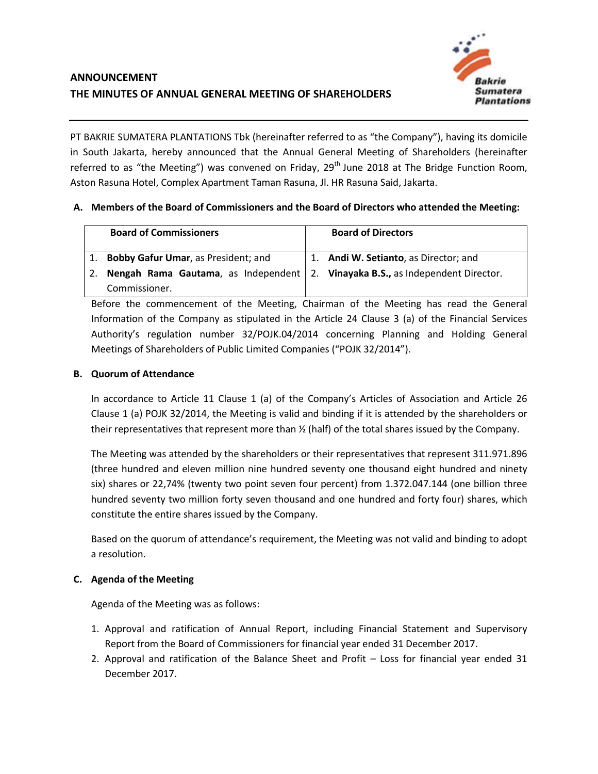

PT BAKRIE SUMATERA PLANTATIONS Tbk (hereinafter referred to as "the Company"), having its domicile in South Jakarta, hereby announced that the Annual General Meeting of Shareholders (hereinafter referred to as "the Meeting") was convened on Friday, 29<sup>th</sup> June 2018 at The Bridge Function Room, Aston Rasuna Hotel, Complex Apartment Taman Rasuna, Jl. HR Rasuna Said, Jakarta.

# **A. Members of the Board of Commissioners and the Board of Directors who attended the Meeting:**

|    | <b>Board of Commissioners</b>                                                    | <b>Board of Directors</b>             |
|----|----------------------------------------------------------------------------------|---------------------------------------|
|    | 1. Bobby Gafur Umar, as President; and                                           | 1. Andi W. Setianto, as Director; and |
| 2. | Nengah Rama Gautama, as Independent   2. Vinayaka B.S., as Independent Director. |                                       |
|    | Commissioner.                                                                    |                                       |

Before the commencement of the Meeting, Chairman of the Meeting has read the General Information of the Company as stipulated in the Article 24 Clause 3 (a) of the Financial Services Authority's regulation number 32/POJK.04/2014 concerning Planning and Holding General Meetings of Shareholders of Public Limited Companies ("POJK 32/2014").

# **B. Quorum of Attendance**

In accordance to Article 11 Clause 1 (a) of the Company's Articles of Association and Article 26 Clause 1 (a) POJK 32/2014, the Meeting is valid and binding if it is attended by the shareholders or their representatives that represent more than ½ (half) of the total shares issued by the Company.

The Meeting was attended by the shareholders or their representatives that represent 311.971.896 (three hundred and eleven million nine hundred seventy one thousand eight hundred and ninety six) shares or 22,74% (twenty two point seven four percent) from 1.372.047.144 (one billion three hundred seventy two million forty seven thousand and one hundred and forty four) shares, which constitute the entire shares issued by the Company.

Based on the quorum of attendance's requirement, the Meeting was not valid and binding to adopt a resolution.

## **C. Agenda of the Meeting**

Agenda of the Meeting was as follows:

- 1. Approval and ratification of Annual Report, including Financial Statement and Supervisory Report from the Board of Commissioners for financial year ended 31 December 2017.
- 2. Approval and ratification of the Balance Sheet and Profit Loss for financial year ended 31 December 2017.